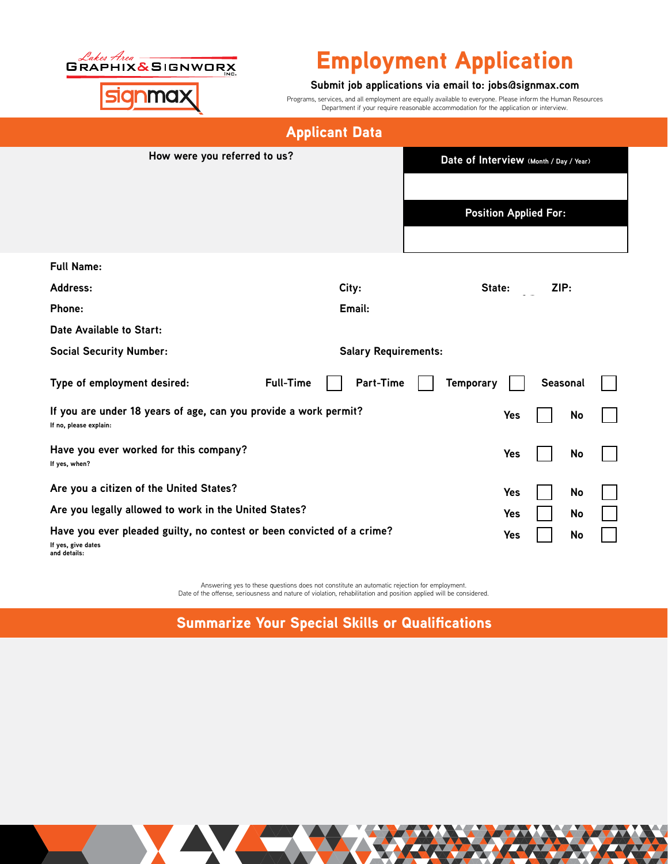

## Employment Application

## **Submit job applications via email to: jobs@signmax.com**

Programs, services, and all employment are equally available to everyone. Please inform the Human Resources Department if your require reasonable accommodation for the application or interview.

## Applicant Data

| How were you referred to us?                                                                                 | Date of Interview (Month / Day / Year) |                  |          |  |  |
|--------------------------------------------------------------------------------------------------------------|----------------------------------------|------------------|----------|--|--|
|                                                                                                              | <b>Position Applied For:</b>           |                  |          |  |  |
| <b>Full Name:</b>                                                                                            |                                        |                  |          |  |  |
| Address:                                                                                                     | City:                                  | State:           | ZIP:     |  |  |
| <b>Phone:</b>                                                                                                | Email:                                 |                  |          |  |  |
| Date Available to Start:                                                                                     |                                        |                  |          |  |  |
| <b>Social Security Number:</b>                                                                               | <b>Salary Requirements:</b>            |                  |          |  |  |
| Type of employment desired:                                                                                  | <b>Part-Time</b><br><b>Full-Time</b>   | <b>Temporary</b> | Seasonal |  |  |
| If you are under 18 years of age, can you provide a work permit?<br>If no, please explain:                   | Yes                                    | No               |          |  |  |
| Have you ever worked for this company?<br>If yes, when?                                                      |                                        | Yes              | No       |  |  |
| Are you a citizen of the United States?                                                                      |                                        | Yes              | No       |  |  |
| Are you legally allowed to work in the United States?                                                        | Yes                                    | No               |          |  |  |
| Have you ever pleaded guilty, no contest or been convicted of a crime?<br>If yes, give dates<br>and details: | Yes                                    | No               |          |  |  |

Answering yes to these questions does not constitute an automatic rejection for employment. Date of the offense, seriousness and nature of violation, rehabilitation and position applied will be considered.

Summarize Your Special Skills or Qualifications